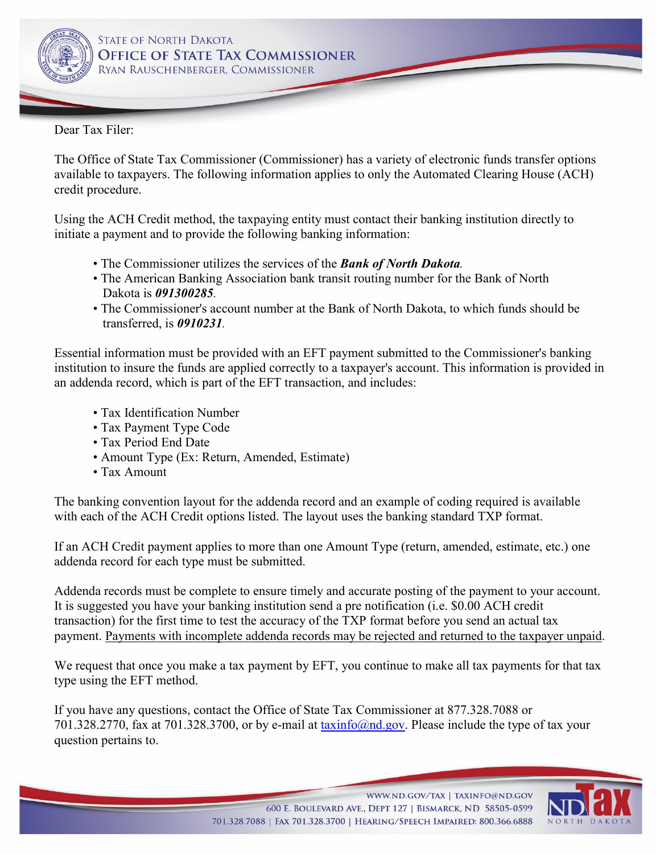

Dear Tax Filer:

The Office of State Tax Commissioner (Commissioner) has a variety of electronic funds transfer options available to taxpayers. The following information applies to only the Automated Clearing House (ACH) credit procedure.

Using the ACH Credit method, the taxpaying entity must contact their banking institution directly to initiate a payment and to provide the following banking information:

- The Commissioner utilizes the services of the *Bank of North Dakota.*
- The American Banking Association bank transit routing number for the Bank of North Dakota is *091300285.*
- The Commissioner's account number at the Bank of North Dakota, to which funds should be transferred, is *0910231.*

Essential information must be provided with an EFT payment submitted to the Commissioner's banking institution to insure the funds are applied correctly to a taxpayer's account. This information is provided in an addenda record, which is part of the EFT transaction, and includes:

- Tax Identification Number
- Tax Payment Type Code
- Tax Period End Date
- Amount Type (Ex: Return, Amended, Estimate)
- Tax Amount

The banking convention layout for the addenda record and an example of coding required is available with each of the ACH Credit options listed. The layout uses the banking standard TXP format.

If an ACH Credit payment applies to more than one Amount Type (return, amended, estimate, etc.) one addenda record for each type must be submitted.

Addenda records must be complete to ensure timely and accurate posting of the payment to your account. It is suggested you have your banking institution send a pre notification (i.e. \$0.00 ACH credit transaction) for the first time to test the accuracy of the TXP format before you send an actual tax payment. Payments with incomplete addenda records may be rejected and returned to the taxpayer unpaid.

We request that once you make a tax payment by EFT, you continue to make all tax payments for that tax type using the EFT method.

If you have any questions, contact the Office of State Tax Commissioner at 877.328.7088 or 701.328.2770, fax at 701.328.3700, or by e-mail at  $\frac{\tan(n\alpha)}{n\alpha}$ ,  $\frac{\cos(n\alpha)}{n\alpha}$ . Please include the type of tax your question pertains to.

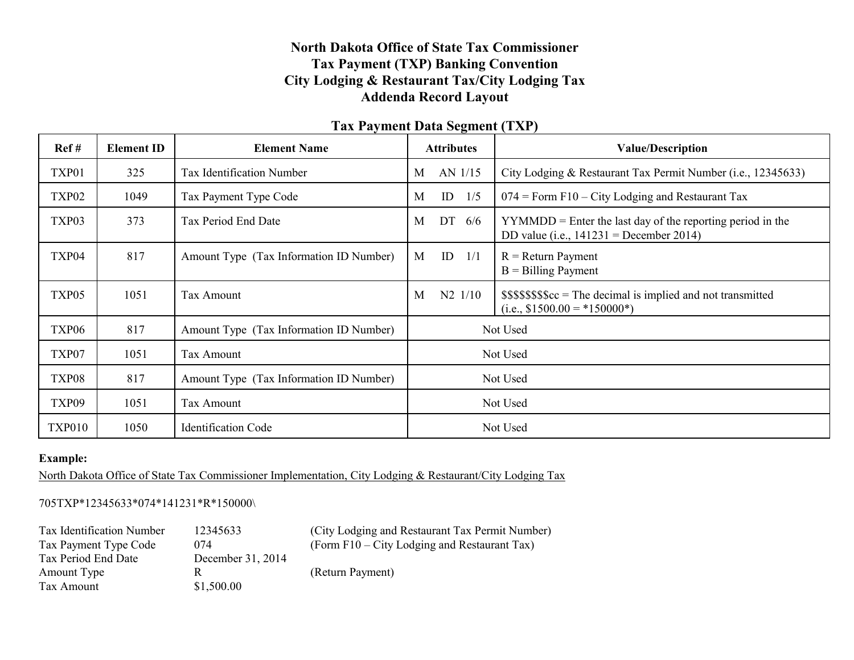# **North Dakota Office of State Tax Commissioner Tax Payment (TXP) Banking Convention City Lodging & Restaurant Tax/City Lodging Tax Addenda Record Layout**

### **Tax Payment Data Segment (TXP)**

| Ref#              | <b>Element ID</b> | <b>Element Name</b>                     | <b>Attributes</b> | <b>Value/Description</b>                                                                                  |  |  |
|-------------------|-------------------|-----------------------------------------|-------------------|-----------------------------------------------------------------------------------------------------------|--|--|
| TXP01             | 325               | Tax Identification Number               | AN 1/15<br>M      | City Lodging & Restaurant Tax Permit Number (i.e., 12345633)                                              |  |  |
| TXP <sub>02</sub> | 1049              | Tax Payment Type Code                   | ID<br>1/5<br>M    | $074$ = Form F10 – City Lodging and Restaurant Tax                                                        |  |  |
| TXP03             | 373               | Tax Period End Date                     | DT 6/6<br>M       | $YYMMDD =$ Enter the last day of the reporting period in the<br>DD value (i.e., $141231$ = December 2014) |  |  |
| TXP04             | 817               | Amount Type (Tax Information ID Number) | ID<br>1/1<br>M    | $R =$ Return Payment<br>$B = B$ illing Payment                                                            |  |  |
| TXP05             | 1051              | Tax Amount                              | $N2$ $1/10$<br>M  | $$$$ \$\$\$\$\$\$ $c =$ The decimal is implied and not transmitted<br>(i.e., $$1500.00 = *150000*$ )      |  |  |
| TXP06             | 817               | Amount Type (Tax Information ID Number) | Not Used          |                                                                                                           |  |  |
| TXP07             | 1051              | Tax Amount                              |                   | Not Used                                                                                                  |  |  |
| TXP08             | 817               | Amount Type (Tax Information ID Number) | Not Used          |                                                                                                           |  |  |
| TXP09             | 1051              | Tax Amount                              |                   | Not Used                                                                                                  |  |  |
| <b>TXP010</b>     | 1050              | <b>Identification Code</b>              |                   | Not Used                                                                                                  |  |  |

### **Example:**

North Dakota Office of State Tax Commissioner Implementation, City Lodging & Restaurant/City Lodging Tax

#### 705TXP\*12345633\*074\*141231\*R\*150000\

| Tax Identification Number | 12345633          | (City Lodging and Restaurant Tax Permit Number) |
|---------------------------|-------------------|-------------------------------------------------|
| Tax Payment Type Code     | 074               | (Form $F10 - City$ Lodging and Restaurant Tax)  |
| Tax Period End Date       | December 31, 2014 |                                                 |
| Amount Type               | R                 | (Return Payment)                                |
| Tax Amount                | \$1,500.00        |                                                 |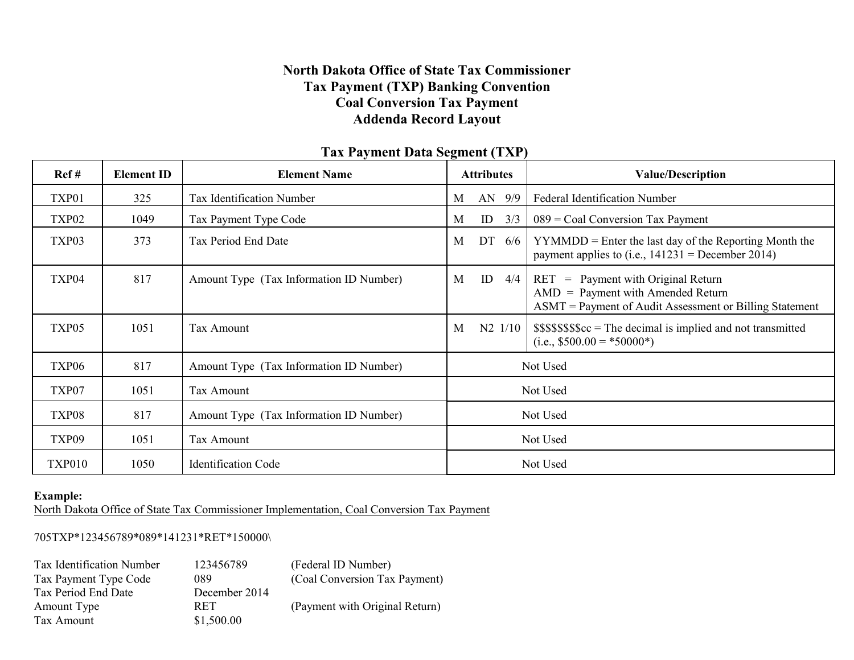# **North Dakota Office of State Tax Commissioner Tax Payment (TXP) Banking Convention Coal Conversion Tax Payment Addenda Record Layout**

| Ref#              | <b>Element ID</b> | <b>Element Name</b>                     |   | <b>Attributes</b> |           | <b>Value/Description</b>                                                                                                                  |
|-------------------|-------------------|-----------------------------------------|---|-------------------|-----------|-------------------------------------------------------------------------------------------------------------------------------------------|
| TXP01             | 325               | Tax Identification Number               | M |                   | AN 9/9    | <b>Federal Identification Number</b>                                                                                                      |
| TXP <sub>02</sub> | 1049              | Tax Payment Type Code                   | M | ID                | 3/3       | $089$ = Coal Conversion Tax Payment                                                                                                       |
| TXP03             | 373               | Tax Period End Date                     | M | DT                | 6/6       | $YYMMDD =$ Enter the last day of the Reporting Month the<br>payment applies to (i.e., $141231$ = December 2014)                           |
| TXP04             | 817               | Amount Type (Tax Information ID Number) | M | ID                | 4/4       | $=$ Payment with Original Return<br>RET<br>$AMD = Payment with Amented Return$<br>ASMT = Payment of Audit Assessment or Billing Statement |
| TXP05             | 1051              | Tax Amount                              | М |                   | $N2$ 1/10 | $$$$ \$\$\$\$\$\$ $c =$ The decimal is implied and not transmitted<br>(i.e., $$500.00 = *50000*$ )                                        |
| TXP06             | 817               | Amount Type (Tax Information ID Number) |   |                   |           | Not Used                                                                                                                                  |
| TXP07             | 1051              | Tax Amount                              |   |                   |           | Not Used                                                                                                                                  |
| TXP08             | 817               | Amount Type (Tax Information ID Number) |   |                   |           | Not Used                                                                                                                                  |
| TXP09             | 1051              | Tax Amount                              |   |                   |           | Not Used                                                                                                                                  |
| <b>TXP010</b>     | 1050              | <b>Identification Code</b>              |   |                   |           | Not Used                                                                                                                                  |

# **Tax Payment Data Segment (TXP)**

#### **Example:**

North Dakota Office of State Tax Commissioner Implementation, Coal Conversion Tax Payment

### 705TXP\*123456789\*089\*141231\*RET\*150000\

| Tax Identification Number | 123456789     | (Federal ID Number)            |
|---------------------------|---------------|--------------------------------|
| Tax Payment Type Code     | 089           | (Coal Conversion Tax Payment)  |
| Tax Period End Date       | December 2014 |                                |
| Amount Type               | <b>RET</b>    | (Payment with Original Return) |
| Tax Amount                | \$1,500.00    |                                |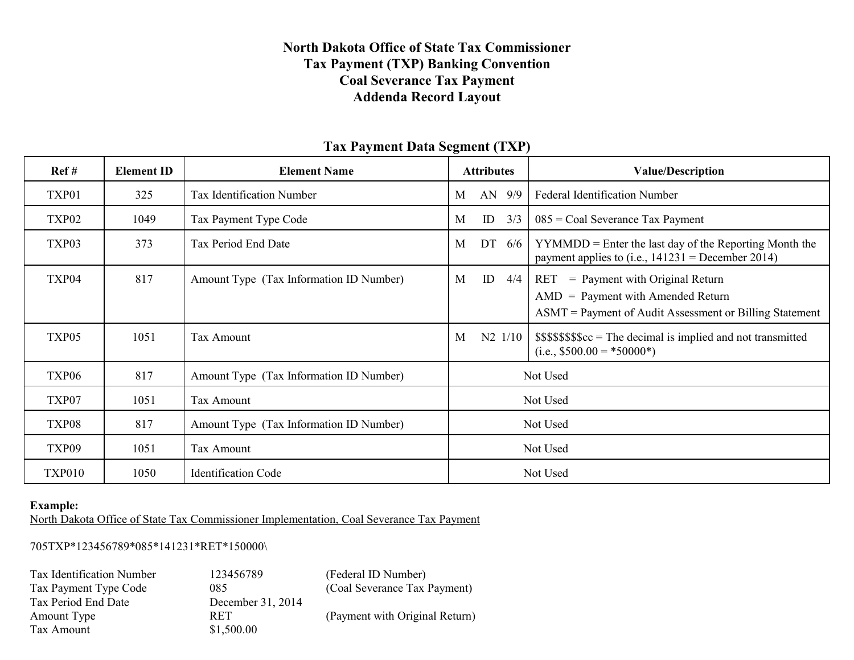## **North Dakota Office of State Tax Commissioner Tax Payment (TXP) Banking Convention Coal Severance Tax Payment Addenda Record Layout**

| Ref#              | <b>Element ID</b> | <b>Element Name</b>                     |   | <b>Attributes</b>   |     | <b>Value/Description</b>                                                                                                                    |
|-------------------|-------------------|-----------------------------------------|---|---------------------|-----|---------------------------------------------------------------------------------------------------------------------------------------------|
| TXP01             | 325               | Tax Identification Number               | M | AN                  | 9/9 | <b>Federal Identification Number</b>                                                                                                        |
| TXP <sub>02</sub> | 1049              | Tax Payment Type Code                   | M | ID                  | 3/3 | $085$ = Coal Severance Tax Payment                                                                                                          |
| TXP03             | 373               | Tax Period End Date                     | M | DT                  | 6/6 | $YYMMDD =$ Enter the last day of the Reporting Month the<br>payment applies to (i.e., $141231$ = December 2014)                             |
| TXP04             | 817               | Amount Type (Tax Information ID Number) | M | ID                  | 4/4 | $=$ Payment with Original Return<br>RET<br>$AMD = Payment with Amented Return$<br>$ASMT =$ Payment of Audit Assessment or Billing Statement |
| TXP05             | 1051              | Tax Amount                              | M | N <sub>2</sub> 1/10 |     | $$$$ \$\$\$\$\$\$ $c =$ The decimal is implied and not transmitted<br>$(i.e., $500.00 = *50000*)$                                           |
| TXP <sub>06</sub> | 817               | Amount Type (Tax Information ID Number) |   |                     |     | Not Used                                                                                                                                    |
| TXP07             | 1051              | Tax Amount                              |   |                     |     | Not Used                                                                                                                                    |
| TXP08             | 817               | Amount Type (Tax Information ID Number) |   |                     |     | Not Used                                                                                                                                    |
| TXP09             | 1051              | Tax Amount                              |   |                     |     | Not Used                                                                                                                                    |
| <b>TXP010</b>     | 1050              | <b>Identification Code</b>              |   |                     |     | Not Used                                                                                                                                    |

### **Tax Payment Data Segment (TXP)**

#### **Example:**

North Dakota Office of State Tax Commissioner Implementation, Coal Severance Tax Payment

705TXP\*123456789\*085\*141231\*RET\*150000\

| Tax Identification Numbe |
|--------------------------|
| Tax Payment Type Code    |
| Tax Period End Date      |
| Amount Type              |
| Tax Amount               |

December 31, 2014<br>RET  $$1,500.00$ 

tification Number 123456789 (Federal ID Number) 085 (Coal Severance Tax Payment)

(Payment with Original Return)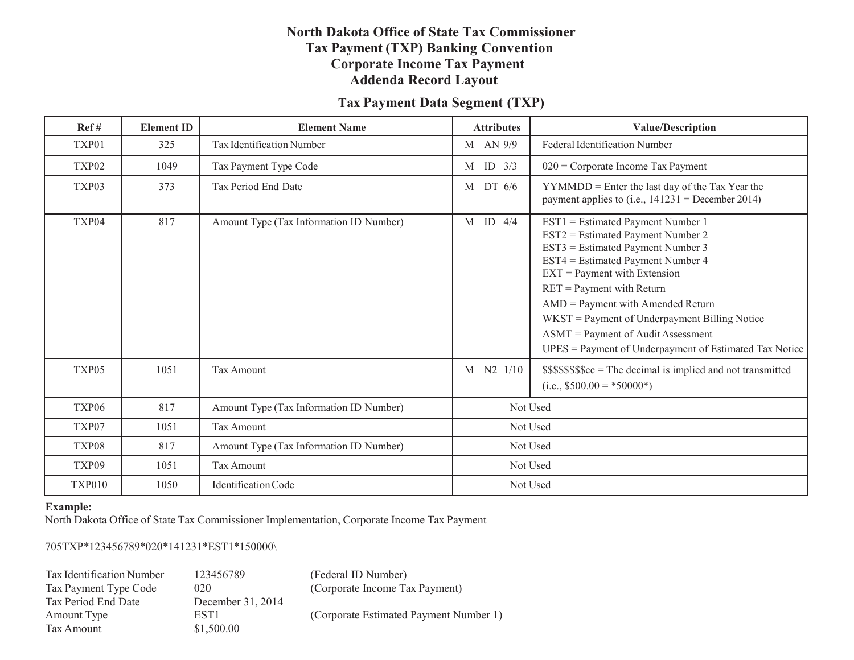# **North Dakota Office of State Tax Commissioner Tax Payment (TXP) Banking Convention Corporate Income Tax Payment Addenda Record Layout**

# **Tax Payment Data Segment (TXP)**

| Ref#              | <b>Element ID</b> | <b>Element Name</b>                     | <b>Attributes</b> | <b>Value/Description</b>                                                                                                                                                                                                                                                                                                                                                                                  |
|-------------------|-------------------|-----------------------------------------|-------------------|-----------------------------------------------------------------------------------------------------------------------------------------------------------------------------------------------------------------------------------------------------------------------------------------------------------------------------------------------------------------------------------------------------------|
| TXP01             | 325               | Tax Identification Number               | M AN 9/9          | <b>Federal Identification Number</b>                                                                                                                                                                                                                                                                                                                                                                      |
| TXP <sub>02</sub> | 1049              | Tax Payment Type Code                   | $M$ ID $3/3$      | $020$ = Corporate Income Tax Payment                                                                                                                                                                                                                                                                                                                                                                      |
| TXP03             | 373               | Tax Period End Date                     | $M$ DT $6/6$      | $YYMMDD =$ Enter the last day of the Tax Year the<br>payment applies to (i.e., $141231$ = December 2014)                                                                                                                                                                                                                                                                                                  |
| TXP04             | 817               | Amount Type (Tax Information ID Number) | $M$ ID 4/4        | EST1 = Estimated Payment Number 1<br>EST2 = Estimated Payment Number 2<br>EST3 = Estimated Payment Number 3<br>EST4 = Estimated Payment Number 4<br>$EXT = Payment with Extension$<br>$RET = Payment with Return$<br>$AMD = Payment with Amented Return$<br>WKST = Payment of Underpayment Billing Notice<br>ASMT = Payment of Audit Assessment<br>UPES = Payment of Underpayment of Estimated Tax Notice |
| TXP05             | 1051              | <b>Tax Amount</b>                       | M N2 1/10         | \$\$\$\$\$\$\$\$cc = The decimal is implied and not transmitted<br>$(i.e., $500.00 = *50000*)$                                                                                                                                                                                                                                                                                                            |
| TXP <sub>06</sub> | 817               | Amount Type (Tax Information ID Number) |                   | Not Used                                                                                                                                                                                                                                                                                                                                                                                                  |
| TXP07             | 1051              | <b>Tax Amount</b>                       | Not Used          |                                                                                                                                                                                                                                                                                                                                                                                                           |
| TXP08             | 817               | Amount Type (Tax Information ID Number) |                   | Not Used                                                                                                                                                                                                                                                                                                                                                                                                  |
| TXP09             | 1051              | <b>Tax Amount</b>                       |                   | Not Used                                                                                                                                                                                                                                                                                                                                                                                                  |
| <b>TXP010</b>     | 1050              | Identification Code                     |                   | Not Used                                                                                                                                                                                                                                                                                                                                                                                                  |

#### **Example:**

North Dakota Office of State Tax Commissioner Implementation, Corporate Income Tax Payment

#### 705TXP\*123456789\*020\*141231\*EST1\*150000\

| Tax Identification Number |
|---------------------------|
| Tax Payment Type Code     |
| Tax Period End Date       |
| Amount Type               |
| Tax Amount                |

December 31, 2014  $$1,500.00$ 

r 123456789 (Federal ID Number) 020 (Corporate Income Tax Payment)

EST1 (Corporate Estimated Payment Number 1)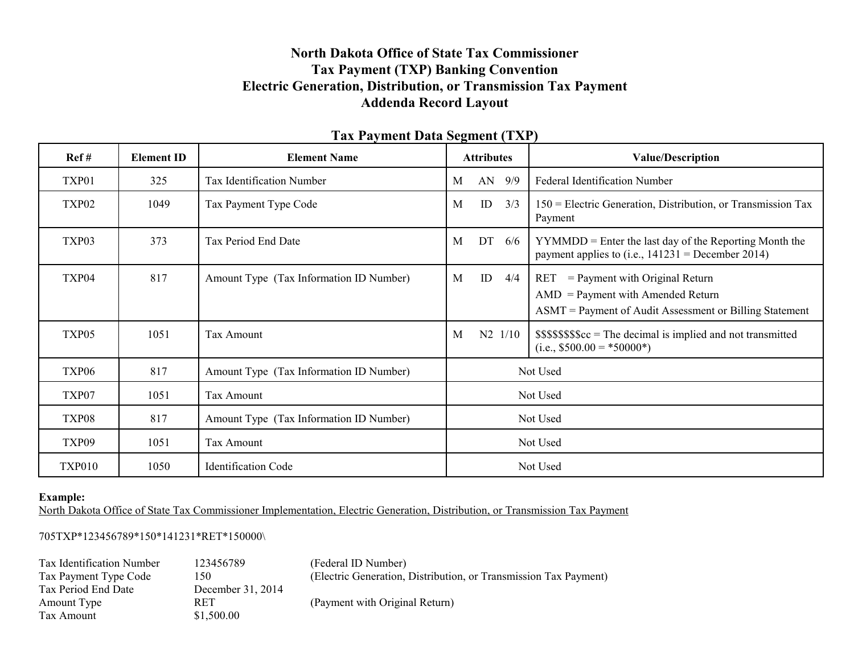# **North Dakota Office of State Tax Commissioner Tax Payment (TXP) Banking Convention Electric Generation, Distribution, or Transmission Tax Payment Addenda Record Layout**

| Ref#              | <b>Element ID</b> | <b>Element Name</b>                     | <b>Attributes</b> | <b>Value/Description</b>                                                                                                                 |
|-------------------|-------------------|-----------------------------------------|-------------------|------------------------------------------------------------------------------------------------------------------------------------------|
| TXP01             | 325               | Tax Identification Number               | AN<br>9/9<br>M    | <b>Federal Identification Number</b>                                                                                                     |
| TXP <sub>02</sub> | 1049              | Tax Payment Type Code                   | ID<br>3/3<br>M    | $150$ = Electric Generation, Distribution, or Transmission Tax<br>Payment                                                                |
| TXP03             | 373               | Tax Period End Date                     | DT<br>M<br>6/6    | $YYMMDD =$ Enter the last day of the Reporting Month the<br>payment applies to (i.e., $141231$ = December 2014)                          |
| TXP04             | 817               | Amount Type (Tax Information ID Number) | ID<br>M<br>4/4    | $RET = Payment with Original Return$<br>$AMD = Payment with Amented Return$<br>$ASMT =$ Payment of Audit Assessment or Billing Statement |
| TXP05             | 1051              | <b>Tax Amount</b>                       | M<br>$N2$ 1/10    | $$$$ \$\$\$\$\$\$ $c =$ The decimal is implied and not transmitted<br>$(i.e., $500.00 = *50000*)$                                        |
| TXP06             | 817               | Amount Type (Tax Information ID Number) |                   | Not Used                                                                                                                                 |
| TXP07             | 1051              | Tax Amount                              |                   | Not Used                                                                                                                                 |
| TXP08             | 817               | Amount Type (Tax Information ID Number) |                   | Not Used                                                                                                                                 |
| TXP09             | 1051              | <b>Tax Amount</b>                       |                   | Not Used                                                                                                                                 |
| <b>TXP010</b>     | 1050              | <b>Identification Code</b>              |                   | Not Used                                                                                                                                 |

### **Tax Payment Data Segment (TXP)**

#### **Example:**

North Dakota Office of State Tax Commissioner Implementation, Electric Generation, Distribution, or Transmission Tax Payment

### 705TXP\*123456789\*150\*141231\*RET\*150000\

| Tax Identification Number | 123456789         | (Federal ID Number)                                              |
|---------------------------|-------------------|------------------------------------------------------------------|
| Tax Payment Type Code     | 150               | (Electric Generation, Distribution, or Transmission Tax Payment) |
| Tax Period End Date       | December 31, 2014 |                                                                  |
| Amount Type               | <b>RET</b>        | (Payment with Original Return)                                   |
| Tax Amount                | \$1,500.00        |                                                                  |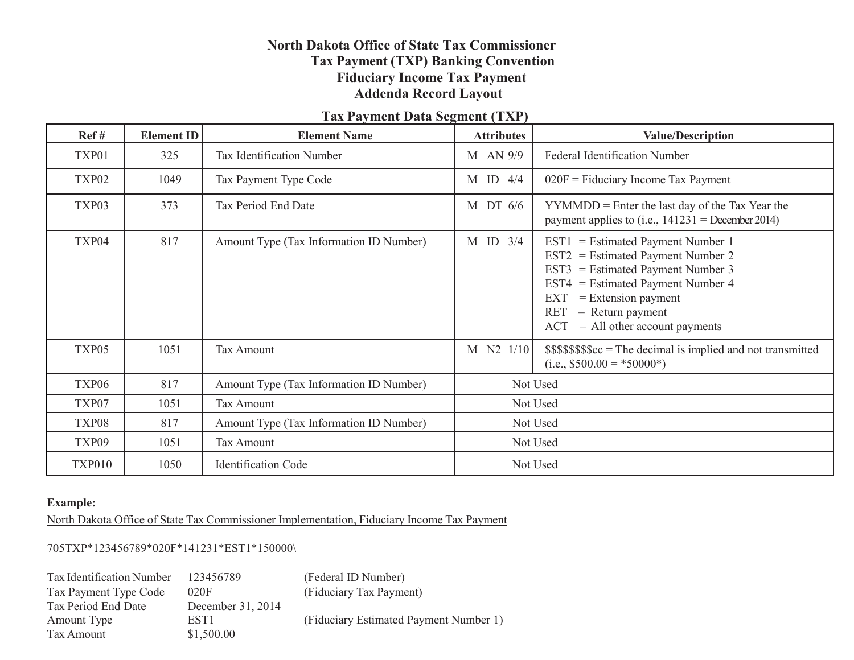# **North Dakota Office of State Tax Commissioner Tax Payment (TXP) Banking Convention Fiduciary Income Tax Payment Addenda Record Layout**

# **Tax Payment Data Segment (TXP)**

| Ref#              | <b>Element ID</b> | <b>Element Name</b>                     | <b>Attributes</b> | <b>Value/Description</b>                                                                                                                                                                                                                                              |
|-------------------|-------------------|-----------------------------------------|-------------------|-----------------------------------------------------------------------------------------------------------------------------------------------------------------------------------------------------------------------------------------------------------------------|
| TXP01             | 325               | Tax Identification Number               | M AN 9/9          | <b>Federal Identification Number</b>                                                                                                                                                                                                                                  |
| TXP <sub>02</sub> | 1049              | Tax Payment Type Code                   | $M$ ID 4/4        | $020F =$ Fiduciary Income Tax Payment                                                                                                                                                                                                                                 |
| TXP03             | 373               | Tax Period End Date                     | M DT 6/6          | $YYMMDD =$ Enter the last day of the Tax Year the<br>payment applies to (i.e., $141231$ = December 2014)                                                                                                                                                              |
| TXP04             | 817               | Amount Type (Tax Information ID Number) | $M$ ID $3/4$      | $EST1 = Estimated$ Payment Number 1<br>$EST2 = Estimated$ Payment Number 2<br>$EST3 = Estimated$ Payment Number 3<br>$EST4 = Estimated$ Payment Number 4<br>$=$ Extension payment<br>EXT<br><b>RET</b><br>$=$ Return payment<br>$=$ All other account payments<br>ACT |
| TXP05             | 1051              | <b>Tax Amount</b>                       | M N2 1/10         | $$$$ \$\$\$\$\$\$ $c =$ The decimal is implied and not transmitted<br>$(i.e., $500.00 = *50000*)$                                                                                                                                                                     |
| TXP <sub>06</sub> | 817               | Amount Type (Tax Information ID Number) | Not Used          |                                                                                                                                                                                                                                                                       |
| TXP07             | 1051              | <b>Tax Amount</b>                       |                   | Not Used                                                                                                                                                                                                                                                              |
| TXP08             | 817               | Amount Type (Tax Information ID Number) |                   | Not Used                                                                                                                                                                                                                                                              |
| TXP09             | 1051              | <b>Tax Amount</b>                       |                   | Not Used                                                                                                                                                                                                                                                              |
| <b>TXP010</b>     | 1050              | <b>Identification Code</b>              |                   | Not Used                                                                                                                                                                                                                                                              |

#### **Example:**

North Dakota Office of State Tax Commissioner Implementation, Fiduciary Income Tax Payment

705TXP\*123456789\*020F\*141231\*EST1\*150000\

| Tax Identification Number | 123456789         | (Federal ID Number)                    |
|---------------------------|-------------------|----------------------------------------|
| Tax Payment Type Code     | 020F              | (Fiduciary Tax Payment)                |
| Tax Period End Date       | December 31, 2014 |                                        |
| Amount Type               | EST <sub>1</sub>  | (Fiduciary Estimated Payment Number 1) |
| Tax Amount                | \$1,500.00        |                                        |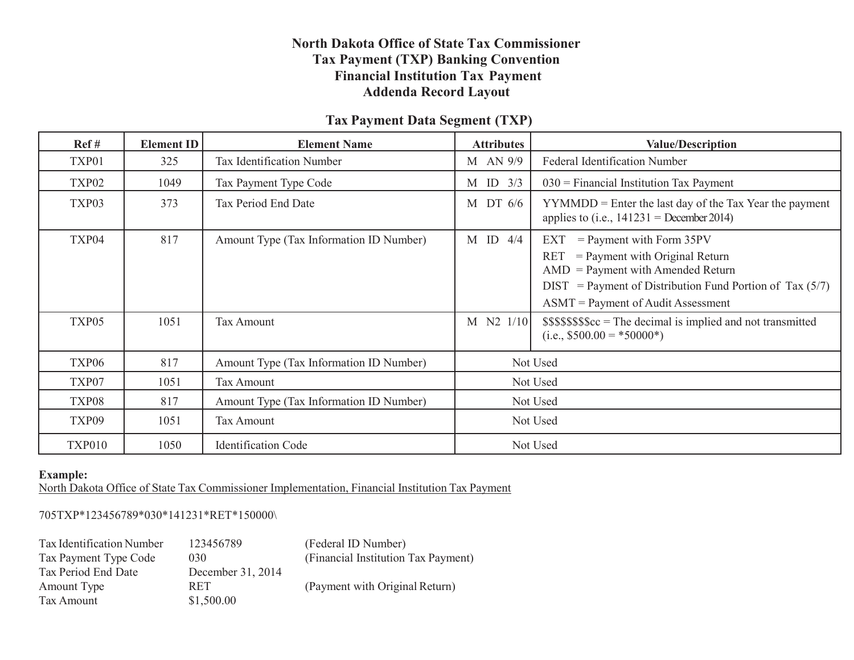### **North Dakota Office of State Tax Commissioner Tax Payment (TXP) Banking Convention Financial Institution Tax Payment Addenda Record Layout**

# **Tax Payment Data Segment (TXP)**

| Ref#              | <b>Element ID</b> | <b>Element Name</b>                     | <b>Attributes</b> | <b>Value/Description</b>                                                                                                                                                                                                         |
|-------------------|-------------------|-----------------------------------------|-------------------|----------------------------------------------------------------------------------------------------------------------------------------------------------------------------------------------------------------------------------|
| TXP01             | 325               | Tax Identification Number               | M AN 9/9          | <b>Federal Identification Number</b>                                                                                                                                                                                             |
| TXP <sub>02</sub> | 1049              | Tax Payment Type Code                   | M ID $3/3$        | $030$ = Financial Institution Tax Payment                                                                                                                                                                                        |
| TXP03             | 373               | Tax Period End Date                     | M DT $6/6$        | $YYMMDD =$ Enter the last day of the Tax Year the payment<br>applies to (i.e., $141231$ = December 2014)                                                                                                                         |
| TXP04             | 817               | Amount Type (Tax Information ID Number) | $M$ ID 4/4        | $=$ Payment with Form 35PV<br>EXT<br>$=$ Payment with Original Return<br><b>RET</b><br>$AMD = Payment with Amented Return$<br>$DIST$ = Payment of Distribution Fund Portion of Tax (5/7)<br>$ASMT =$ Payment of Audit Assessment |
| TXP05             | 1051              | Tax Amount                              | M N2 1/10         | $$$$ \$\$\$\$\$\$ $c =$ The decimal is implied and not transmitted<br>$(i.e., $500.00 = *50000*)$                                                                                                                                |
| TXP <sub>06</sub> | 817               | Amount Type (Tax Information ID Number) |                   | Not Used                                                                                                                                                                                                                         |
| TXP07             | 1051              | Tax Amount                              |                   | Not Used                                                                                                                                                                                                                         |
| TXP08             | 817               | Amount Type (Tax Information ID Number) |                   | Not Used                                                                                                                                                                                                                         |
| TXP09             | 1051              | Tax Amount                              |                   | Not Used                                                                                                                                                                                                                         |
| <b>TXP010</b>     | 1050              | <b>Identification Code</b>              |                   | Not Used                                                                                                                                                                                                                         |

#### **Example:**

North Dakota Office of State Tax Commissioner Implementation, Financial Institution Tax Payment

#### 705TXP\*123456789\*030\*141231\*RET\*150000\

| Tax Identification Number | 123456789         | (Federal ID Number)                 |
|---------------------------|-------------------|-------------------------------------|
| Tax Payment Type Code     | 030               | (Financial Institution Tax Payment) |
| Tax Period End Date       | December 31, 2014 |                                     |
| Amount Type               | <b>RET</b>        | (Payment with Original Return)      |
| Tax Amount                | \$1,500.00        |                                     |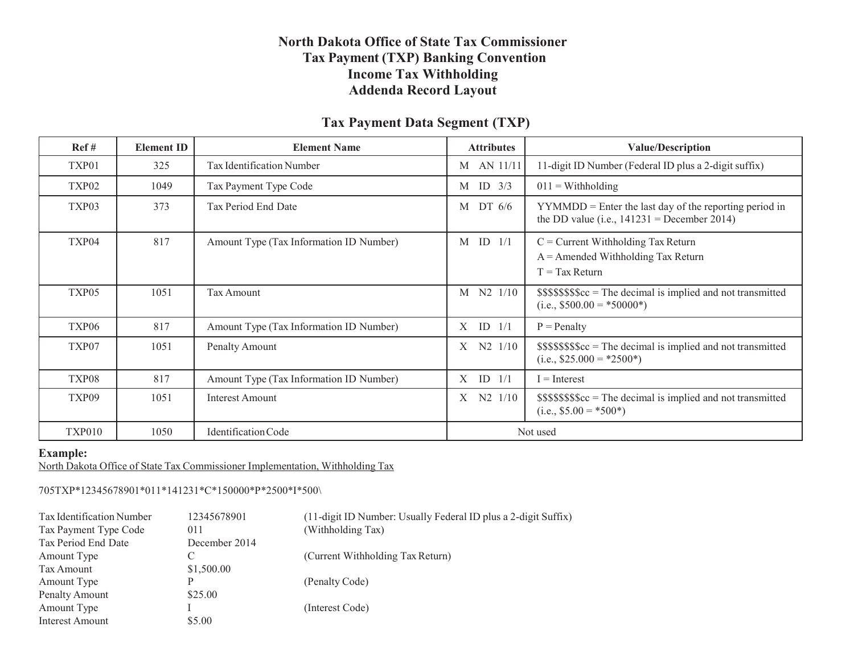### **North Dakota Office of State Tax Commissioner Tax Payment (TXP) Banking Convention Income Tax Withholding Addenda Record Layout**

### **Tax Payment Data Segment (TXP)**

| Ref#              | <b>Element ID</b> | <b>Element Name</b>                     | <b>Attributes</b> | <b>Value/Description</b>                                                                                  |
|-------------------|-------------------|-----------------------------------------|-------------------|-----------------------------------------------------------------------------------------------------------|
| TXP01             | 325               | Tax Identification Number               | M AN 11/11        | 11-digit ID Number (Federal ID plus a 2-digit suffix)                                                     |
| TXP <sub>02</sub> | 1049              | Tax Payment Type Code                   | ID $3/3$<br>M     | $011 = \text{Withouting}$                                                                                 |
| TXP03             | 373               | Tax Period End Date                     | DT 6/6<br>M       | $YYMMDD =$ Enter the last day of the reporting period in<br>the DD value (i.e., $141231$ = December 2014) |
| TXP04             | 817               | Amount Type (Tax Information ID Number) | $M$ ID $1/1$      | $C =$ Current Withholding Tax Return<br>$A =$ Amended Withholding Tax Return<br>$T = Tax Return$          |
| TXP <sub>05</sub> | 1051              | <b>Tax Amount</b>                       | $N2$ $1/10$<br>M  | $$$$ \$\$\$\$\$\$ $c =$ The decimal is implied and not transmitted<br>(i.e., $$500.00 = *50000*$ )        |
| TXP06             | 817               | Amount Type (Tax Information ID Number) | ID $1/1$<br>X     | $P =$ Penalty                                                                                             |
| TXP07             | 1051              | Penalty Amount                          | $N2$ $1/10$<br>X  | $$$$ \$\$\$\$\$\$ $c =$ The decimal is implied and not transmitted<br>$(i.e., $25.000 = *2500*)$          |
| TXP08             | 817               | Amount Type (Tax Information ID Number) | $X$ ID $1/1$      | $I = Interest$                                                                                            |
| TXP09             | 1051              | <b>Interest Amount</b>                  | N2 1/10<br>Χ      | $$$$ \$\$\$\$\$\$ $c =$ The decimal is implied and not transmitted<br>$(i.e., $5.00 = *500*)$             |
| <b>TXP010</b>     | 1050              | Identification Code                     |                   | Not used                                                                                                  |

#### **Example:**

North Dakota Office of State Tax Commissioner Implementation, Withholding Tax

705TXP\*12345678901\*011\*141231\*C\*150000\*P\*2500\*I\*500\

| Tax Identification Number | 12345678901   | (11-digit ID Number: Usually Federal ID plus a 2-digit Suffix) |
|---------------------------|---------------|----------------------------------------------------------------|
| Tax Payment Type Code     | 011           | (Withholding Tax)                                              |
| Tax Period End Date       | December 2014 |                                                                |
| Amount Type               |               | (Current Withholding Tax Return)                               |
| Tax Amount                | \$1,500.00    |                                                                |
| Amount Type               |               | (Penalty Code)                                                 |
| Penalty Amount            | \$25.00       |                                                                |
| Amount Type               |               | (Interest Code)                                                |
| Interest Amount           | \$5.00        |                                                                |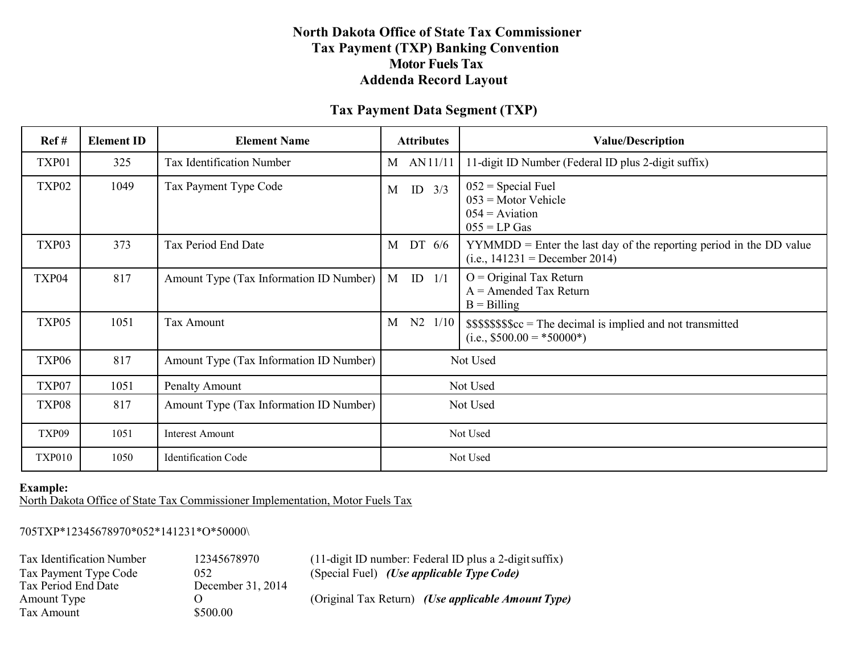### **North Dakota Office of State Tax Commissioner Tax Payment (TXP) Banking Convention Motor Fuels Tax Addenda Record Layout**

### **Tax Payment Data Segment (TXP)**

| Ref#          | <b>Element ID</b> | <b>Element Name</b>                     | <b>Attributes</b> |          | <b>Value/Description</b>                                                                                  |
|---------------|-------------------|-----------------------------------------|-------------------|----------|-----------------------------------------------------------------------------------------------------------|
| TXP01         | 325               | <b>Tax Identification Number</b>        | AN11/11<br>M      |          | 11-digit ID Number (Federal ID plus 2-digit suffix)                                                       |
| TXP02         | 1049              | Tax Payment Type Code                   | ID $3/3$<br>M     |          | $052$ = Special Fuel<br>$053$ = Motor Vehicle<br>$054 =$ Aviation<br>$055 = LP Gas$                       |
| TXP03         | 373               | Tax Period End Date                     | DT 6/6<br>M       |          | $YYMMDD =$ Enter the last day of the reporting period in the DD value<br>(i.e., $141231$ = December 2014) |
| TXP04         | 817               | Amount Type (Tax Information ID Number) | $M$ ID $1/1$      |          | $O =$ Original Tax Return<br>$A =$ Amended Tax Return<br>$B = B$ illing                                   |
| TXP05         | 1051              | <b>Tax Amount</b>                       | N2<br>M           | 1/10     | $$$$ \$\$\$\$\$\$ $c =$ The decimal is implied and not transmitted<br>$(i.e., $500.00 = *50000*)$         |
| TXP06         | 817               | Amount Type (Tax Information ID Number) |                   |          | Not Used                                                                                                  |
| TXP07         | 1051              | Penalty Amount                          |                   | Not Used |                                                                                                           |
| TXP08         | 817               | Amount Type (Tax Information ID Number) | Not Used          |          |                                                                                                           |
| TXP09         | 1051              | <b>Interest Amount</b>                  |                   | Not Used |                                                                                                           |
| <b>TXP010</b> | 1050              | <b>Identification Code</b>              |                   |          | Not Used                                                                                                  |

#### **Example:**

North Dakota Office of State Tax Commissioner Implementation, Motor Fuels Tax

705TXP\*12345678970\*052\*141231\*O\*50000\

Tax Period End Date December 31, 2014<br>Amount Type O Tax Amount \$500.00

Tax Identification Number 12345678970 (11-digit ID number: Federal ID plus a 2-digit suffix)<br>Tax Payment Type Code 052 (Special Fuel) (Use applicable Type Code) Tax Payment Type Code 052 (Special Fuel) *(Use applicable Type Code)*<br>Tax Period End Date December 31, 2014

Amount Type O (Original Tax Return) *(Use applicable Amount Type)*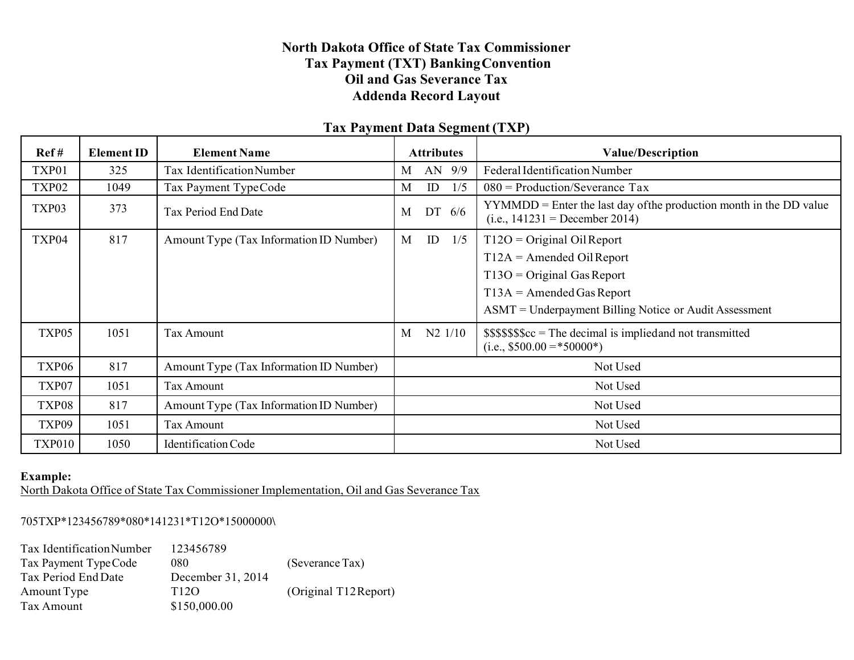## **North Dakota Office of State Tax Commissioner Tax Payment (TXT) BankingConvention Oil and Gas Severance Tax Addenda Record Layout**

| Ref#              | <b>Element ID</b> | <b>Element Name</b>                     |          | <b>Attributes</b> |             | <b>Value/Description</b>                                                                                  |  |
|-------------------|-------------------|-----------------------------------------|----------|-------------------|-------------|-----------------------------------------------------------------------------------------------------------|--|
| TXP01             | 325               | Tax Identification Number               | M        |                   | AN 9/9      | Federal Identification Number                                                                             |  |
| TXP <sub>02</sub> | 1049              | Tax Payment Type Code                   | M        | ID                | 1/5         | $080$ = Production/Severance Tax                                                                          |  |
| TXP03             | 373               | Tax Period End Date                     | M        | DT                | 6/6         | $YYMMDD =$ Enter the last day of the production month in the DD value<br>(i.e., $141231$ = December 2014) |  |
| TXP04             | 817               | Amount Type (Tax Information ID Number) | M        | ID                | 1/5         | $T12O = Original Oil Report$                                                                              |  |
|                   |                   |                                         |          |                   |             | $T12A =$ Amended Oil Report                                                                               |  |
|                   |                   |                                         |          |                   |             | $T13O = Original Gas Report$                                                                              |  |
|                   |                   |                                         |          |                   |             | $T13A = A$ mended Gas Report                                                                              |  |
|                   |                   |                                         |          |                   |             | ASMT = Underpayment Billing Notice or Audit Assessment                                                    |  |
| TXP05             | 1051              | Tax Amount                              | M        |                   | $N2$ $1/10$ | $$$$ \$\$\$\$\$ $c =$ The decimal is implied and not transmitted<br>$(i.e., $500.00 = *50000*)$           |  |
| TXP <sub>06</sub> | 817               | Amount Type (Tax Information ID Number) | Not Used |                   |             |                                                                                                           |  |
| TXP07             | 1051              | Tax Amount                              |          |                   |             | Not Used                                                                                                  |  |
| TXP08             | 817               | Amount Type (Tax Information ID Number) |          | Not Used          |             |                                                                                                           |  |
| TXP09             | 1051              | <b>Tax Amount</b>                       |          | Not Used          |             |                                                                                                           |  |
| <b>TXP010</b>     | 1050              | Identification Code                     |          | Not Used          |             |                                                                                                           |  |

# **Tax Payment Data Segment (TXP)**

#### **Example:**

North Dakota Office of State Tax Commissioner Implementation, Oil and Gas Severance Tax

705TXP\*123456789\*080\*141231\*T12O\*15000000**\**

| <b>Tax Identification Number</b> | 123456789         |                       |
|----------------------------------|-------------------|-----------------------|
| Tax Payment Type Code            | 080               | (Severance Tax)       |
| Tax Period End Date              | December 31, 2014 |                       |
| Amount Type                      | T12O              | (Original T12 Report) |
| Tax Amount                       | \$150,000.00      |                       |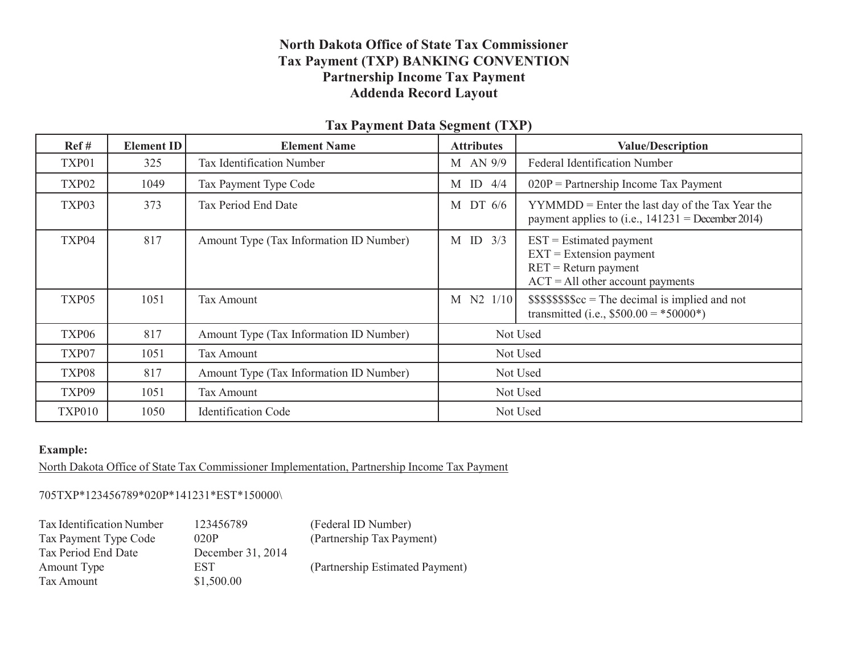## **North Dakota Office of State Tax Commissioner Tax Payment (TXP) BANKING CONVENTION Partnership Income Tax Payment Addenda Record Layout**

| Ref#              | <b>Element ID</b> | <b>Element Name</b>                     | o.<br><b>Attributes</b> | <b>Value/Description</b>                                                                                                |
|-------------------|-------------------|-----------------------------------------|-------------------------|-------------------------------------------------------------------------------------------------------------------------|
| TXP01             | 325               | Tax Identification Number               | M AN 9/9                | <b>Federal Identification Number</b>                                                                                    |
| TXP <sub>02</sub> | 1049              | Tax Payment Type Code                   | $M$ ID $4/4$            | $020P =$ Partnership Income Tax Payment                                                                                 |
| TXP03             | 373               | Tax Period End Date                     | M DT 6/6                | $YYMMDD =$ Enter the last day of the Tax Year the<br>payment applies to (i.e., $141231$ = December 2014)                |
| TXP04             | 817               | Amount Type (Tax Information ID Number) | $M$ ID $3/3$            | $EST = Estimate$ d payment<br>$EXT = Extension$ payment<br>$RET = Return$ payment<br>$ACT = All other account payments$ |
| TXP05             | 1051              | <b>Tax Amount</b>                       | M N2 1/10               | $$$$$ \$\$\$\$\$ $c =$ The decimal is implied and not<br>transmitted (i.e., $$500.00 = *50000*$ )                       |
| TXP06             | 817               | Amount Type (Tax Information ID Number) |                         | Not Used                                                                                                                |
| TXP07             | 1051              | <b>Tax Amount</b>                       | Not Used                |                                                                                                                         |
| TXP08             | 817               | Amount Type (Tax Information ID Number) | Not Used                |                                                                                                                         |
| TXP09             | 1051              | Tax Amount                              |                         | Not Used                                                                                                                |
| <b>TXP010</b>     | 1050              | <b>Identification Code</b>              |                         | Not Used                                                                                                                |

### **Tax Payment Data Segment (TXP)**

### **Example:**

North Dakota Office of State Tax Commissioner Implementation, Partnership Income Tax Payment

#### 705TXP\*123456789\*020P\*141231\*EST\*150000\

| Tax Identification Number | 123456789         | (Federal ID Number)             |
|---------------------------|-------------------|---------------------------------|
| Tax Payment Type Code     | 020P              | (Partnership Tax Payment)       |
| Tax Period End Date       | December 31, 2014 |                                 |
| Amount Type               | EST               | (Partnership Estimated Payment) |
| Tax Amount                | \$1,500.00        |                                 |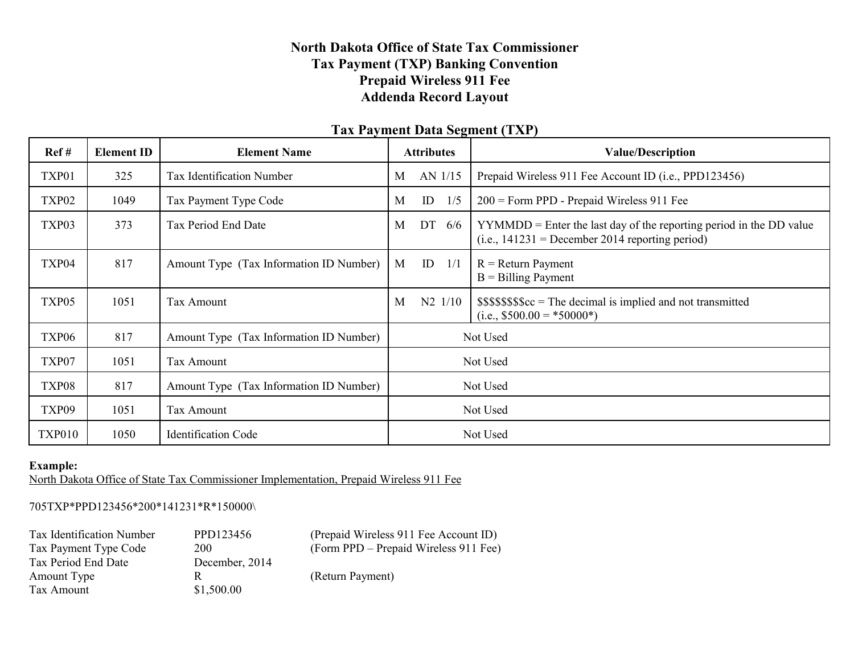# **North Dakota Office of State Tax Commissioner Tax Payment (TXP) Banking Convention Prepaid Wireless 911 Fee Addenda Record Layout**

# **Tax Payment Data Segment (TXP)**

| Ref#              | <b>Element ID</b> | <b>Element Name</b>                     | <b>Attributes</b> |          |                   | <b>Value/Description</b>                                                                                                   |
|-------------------|-------------------|-----------------------------------------|-------------------|----------|-------------------|----------------------------------------------------------------------------------------------------------------------------|
| TXP01             | 325               | Tax Identification Number               | M                 |          | AN 1/15           | Prepaid Wireless 911 Fee Account ID (i.e., PPD123456)                                                                      |
| TXP <sub>02</sub> | 1049              | Tax Payment Type Code                   | M                 | ID       | 1/5               | $200$ = Form PPD - Prepaid Wireless 911 Fee                                                                                |
| TXP03             | 373               | Tax Period End Date                     | M                 |          | DT 6/6            | $YYMMDD =$ Enter the last day of the reporting period in the DD value<br>$(i.e., 141231 = December 2014 reporting period)$ |
| TXP04             | 817               | Amount Type (Tax Information ID Number) | M                 | ID       | 1/1               | $R =$ Return Payment<br>$B =$ Billing Payment                                                                              |
| TXP05             | 1051              | Tax Amount                              | M                 |          | $N2 \frac{1}{10}$ | $$$$ \$\$\$\$\$ $c =$ The decimal is implied and not transmitted<br>$(i.e., $500.00 = *50000*)$                            |
| TXP06             | 817               | Amount Type (Tax Information ID Number) |                   | Not Used |                   |                                                                                                                            |
| TXP07             | 1051              | Tax Amount                              |                   | Not Used |                   |                                                                                                                            |
| TXP08             | 817               | Amount Type (Tax Information ID Number) |                   | Not Used |                   |                                                                                                                            |
| TXP09             | 1051              | Tax Amount                              | Not Used          |          |                   |                                                                                                                            |
| <b>TXP010</b>     | 1050              | <b>Identification Code</b>              |                   |          |                   | Not Used                                                                                                                   |

### **Example:**

North Dakota Office of State Tax Commissioner Implementation, Prepaid Wireless 911 Fee

#### 705TXP\*PPD123456\*200\*141231\*R\*150000\

| Tax Identification Number | PPD123456      | (Prepaid Wireless 911 Fee Account ID) |
|---------------------------|----------------|---------------------------------------|
| Tax Payment Type Code     | <b>200</b>     | (Form PPD – Prepaid Wireless 911 Fee) |
| Tax Period End Date       | December, 2014 |                                       |
| Amount Type               | R              | (Return Payment)                      |
| Tax Amount                | \$1,500.00     |                                       |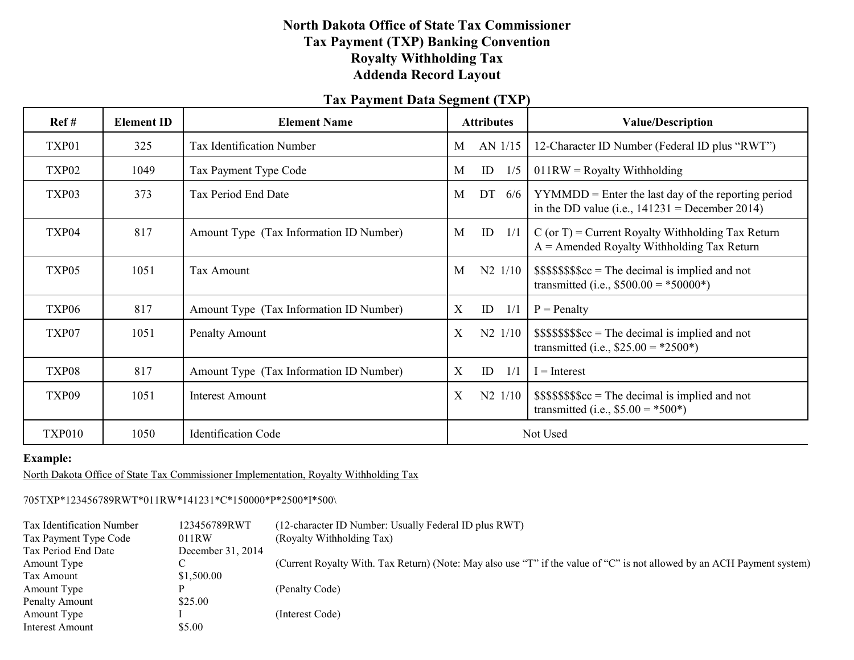# **North Dakota Office of State Tax Commissioner Tax Payment (TXP) Banking Convention Royalty Withholding Tax Addenda Record Layout**

### **Tax Payment Data Segment (TXP)**

| Ref#              | <b>Element ID</b> | <b>Element Name</b>                     | <b>Attributes</b>      | <b>Value/Description</b>                                                                                  |
|-------------------|-------------------|-----------------------------------------|------------------------|-----------------------------------------------------------------------------------------------------------|
| TXP01             | 325               | Tax Identification Number               | AN 1/15<br>M           | 12-Character ID Number (Federal ID plus "RWT")                                                            |
| TXP <sub>02</sub> | 1049              | Tax Payment Type Code                   | ID<br>M<br>1/5         | $011RW =$ Royalty Withholding                                                                             |
| TXP03             | 373               | Tax Period End Date                     | DT $6/6$<br>M          | $YYMMDD =$ Enter the last day of the reporting period<br>in the DD value (i.e., $141231$ = December 2014) |
| TXP04             | 817               | Amount Type (Tax Information ID Number) | ID<br>M<br>1/1         | $C$ (or T) = Current Royalty Withholding Tax Return<br>$A =$ Amended Royalty Withholding Tax Return       |
| TXP05             | 1051              | Tax Amount                              | $N2 \frac{1}{10}$<br>M | $$$$ \$\$\$\$\$ $c =$ The decimal is implied and not<br>transmitted (i.e., $$500.00 = *50000*$ )          |
| TXP <sub>06</sub> | 817               | Amount Type (Tax Information ID Number) | X<br>ID<br>1/1         | $P =$ Penalty                                                                                             |
| TXP07             | 1051              | <b>Penalty Amount</b>                   | X<br>$N2$ 1/10         | $$$$$ \$\$\$\$\$ $c =$ The decimal is implied and not<br>transmitted (i.e., $$25.00 = *2500^*$ )          |
| TXP08             | 817               | Amount Type (Tax Information ID Number) | X<br>ID<br>1/1         | $I = Interest$                                                                                            |
| TXP09             | 1051              | Interest Amount                         | X<br>$N2 \frac{1}{10}$ | $$$$ \$\$\$\$\$ $c =$ The decimal is implied and not<br>transmitted (i.e., $$5.00 = *500*$ )              |
| <b>TXP010</b>     | 1050              | <b>Identification Code</b>              |                        | Not Used                                                                                                  |

### **Example:**

North Dakota Office of State Tax Commissioner Implementation, Royalty Withholding Tax

#### 705TXP\*123456789RWT\*011RW\*141231\*C\*150000\*P\*2500\*I\*500\

| Tax Identification Number | 123456789RWT      | (12-character ID Number: Usually Federal ID plus RWT)                                                                   |
|---------------------------|-------------------|-------------------------------------------------------------------------------------------------------------------------|
| Tax Payment Type Code     | 011RW             | (Royalty Withholding Tax)                                                                                               |
| Tax Period End Date       | December 31, 2014 |                                                                                                                         |
| Amount Type               |                   | (Current Royalty With. Tax Return) (Note: May also use "T" if the value of "C" is not allowed by an ACH Payment system) |
| Tax Amount                | \$1,500.00        |                                                                                                                         |
| Amount Type               |                   | (Penalty Code)                                                                                                          |
| Penalty Amount            | \$25.00           |                                                                                                                         |
| Amount Type               |                   | (Interest Code)                                                                                                         |
| Interest Amount           | \$5.00            |                                                                                                                         |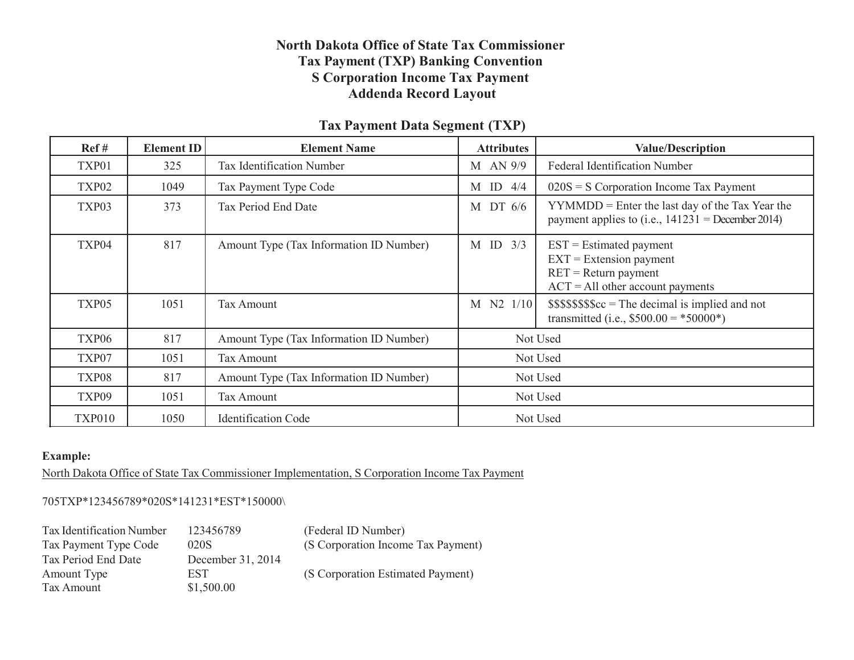# **North Dakota Office of State Tax Commissioner Tax Payment (TXP) Banking Convention S Corporation Income Tax Payment Addenda Record Layout**

### **Tax Payment Data Segment (TXP)**

| Ref#              | <b>Element ID</b> | <b>Element Name</b>                     | <b>Attributes</b> | <b>Value/Description</b>                                                                                              |  |
|-------------------|-------------------|-----------------------------------------|-------------------|-----------------------------------------------------------------------------------------------------------------------|--|
| TXP01             | 325               | Tax Identification Number               | M AN 9/9          | <b>Federal Identification Number</b>                                                                                  |  |
| TXP <sub>02</sub> | 1049              | Tax Payment Type Code                   | $M$ ID 4/4        | $020S = S$ Corporation Income Tax Payment                                                                             |  |
| TXP03             | 373               | Tax Period End Date                     | DT 6/6<br>M       | $YYMMDD =$ Enter the last day of the Tax Year the<br>payment applies to (i.e., $141231$ = December 2014)              |  |
| TXP04             | 817               | Amount Type (Tax Information ID Number) | $M$ ID $3/3$      | $EST = Estimate$ payment<br>$EXT = Extension$ payment<br>$RET = Return$ payment<br>$ACT = All other account payments$ |  |
| TXP05             | 1051              | <b>Tax Amount</b>                       | M N2 1/10         | $$$$ \$\$\$\$\$ $c =$ The decimal is implied and not<br>transmitted (i.e., $$500.00 = *50000*$ )                      |  |
| TXP06             | 817               | Amount Type (Tax Information ID Number) |                   | Not Used                                                                                                              |  |
| TXP07             | 1051              | Tax Amount                              |                   | Not Used                                                                                                              |  |
| TXP08             | 817               | Amount Type (Tax Information ID Number) | Not Used          |                                                                                                                       |  |
| TXP09             | 1051              | Not Used<br><b>Tax Amount</b>           |                   |                                                                                                                       |  |
| <b>TXP010</b>     | 1050              | <b>Identification Code</b>              |                   | Not Used                                                                                                              |  |

### **Example:**

North Dakota Office of State Tax Commissioner Implementation, S Corporation Income Tax Payment

#### 705TXP\*123456789\*020S\*141231\*EST\*150000\

| Tax Identification Number | 123456789         | (Federal ID Number)                |
|---------------------------|-------------------|------------------------------------|
| Tax Payment Type Code     | 020S              | (S Corporation Income Tax Payment) |
| Tax Period End Date       | December 31, 2014 |                                    |
| Amount Type               | EST.              | (S Corporation Estimated Payment)  |
| Tax Amount                | \$1,500.00        |                                    |